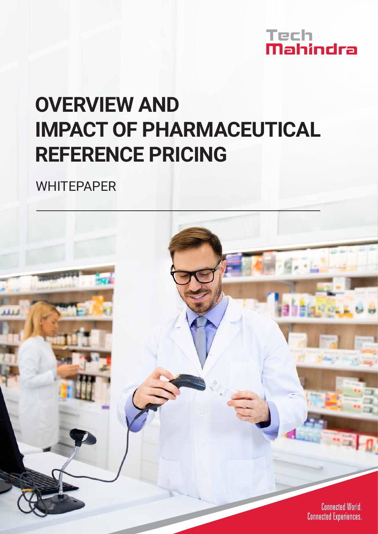

# **OVERVIEW AND IMPACT OF PHARMACEUTICAL REFERENCE PRICING**

**WHITEPAPER** 

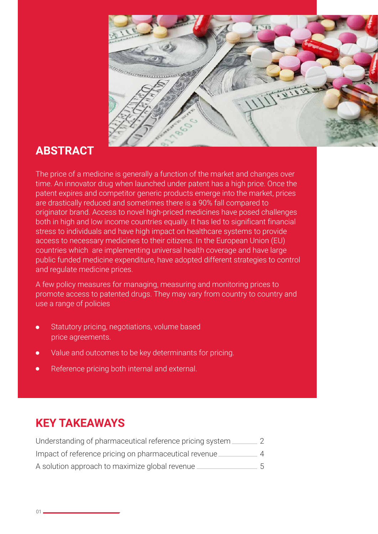

### **ABSTRACT**

The price of a medicine is generally a function of the market and changes over time. An innovator drug when launched under patent has a high price. Once the patent expires and competitor generic products emerge into the market, prices are drastically reduced and sometimes there is a 90% fall compared to originator brand. Access to novel high-priced medicines have posed challenges both in high and low income countries equally. It has led to significant financial stress to individuals and have high impact on healthcare systems to provide access to necessary medicines to their citizens. In the European Union (EU) countries which are implementing universal health coverage and have large public funded medicine expenditure, have adopted different strategies to control and regulate medicine prices.

A few policy measures for managing, measuring and monitoring prices to promote access to patented drugs. They may vary from country to country and use a range of policies

- Statutory pricing, negotiations, volume based price agreements.
- Value and outcomes to be key determinants for pricing.
- Reference pricing both internal and external.

### **KEY TAKEAWAYS**

| Understanding of pharmaceutical reference pricing system |                |
|----------------------------------------------------------|----------------|
| Impact of reference pricing on pharmaceutical revenue.   | Δ              |
| A solution approach to maximize global revenue.          | $\overline{5}$ |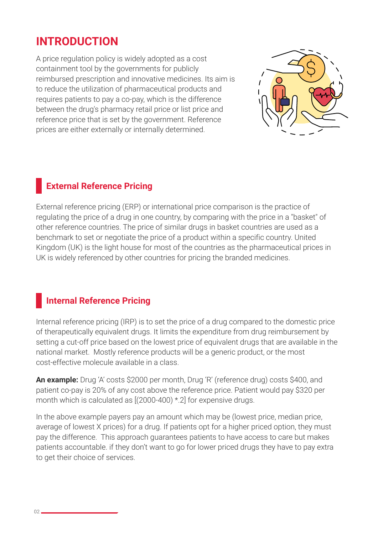### **INTRODUCTION**

A price regulation policy is widely adopted as a cost containment tool by the governments for publicly reimbursed prescription and innovative medicines. Its aim is to reduce the utilization of pharmaceutical products and requires patients to pay a co-pay, which is the difference between the drug's pharmacy retail price or list price and reference price that is set by the government. Reference prices are either externally or internally determined.



### **External Reference Pricing**

External reference pricing (ERP) or international price comparison is the practice of regulating the price of a drug in one country, by comparing with the price in a "basket" of other reference countries. The price of similar drugs in basket countries are used as a benchmark to set or negotiate the price of a product within a specific country. United Kingdom (UK) is the light house for most of the countries as the pharmaceutical prices in UK is widely referenced by other countries for pricing the branded medicines.

### **Internal Reference Pricing**

Internal reference pricing (IRP) is to set the price of a drug compared to the domestic price of therapeutically equivalent drugs. It limits the expenditure from drug reimbursement by setting a cut-off price based on the lowest price of equivalent drugs that are available in the national market. Mostly reference products will be a generic product, or the most cost-effective molecule available in a class.

**An example:** Drug 'A' costs \$2000 per month, Drug 'R' (reference drug) costs \$400, and patient co-pay is 20% of any cost above the reference price. Patient would pay \$320 per month which is calculated as [(2000-400) \*.2] for expensive drugs.

In the above example payers pay an amount which may be (lowest price, median price, average of lowest X prices) for a drug. If patients opt for a higher priced option, they must pay the difference. This approach guarantees patients to have access to care but makes patients accountable. if they don't want to go for lower priced drugs they have to pay extra to get their choice of services.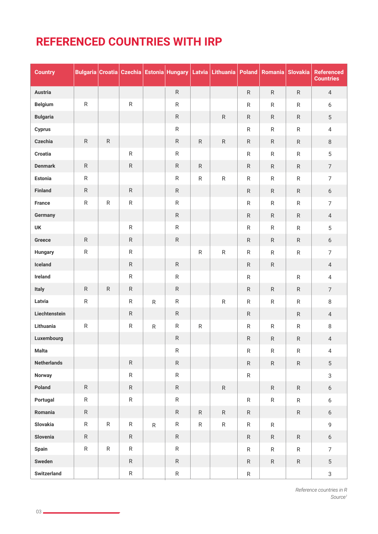### **REFERENCED COUNTRIES WITH IRP**

| <b>Country</b>     |              |           |              |           |              |              | Bulgaria Croatia   Czechia   Estonia   Hungary   Latvia   Lithuania   Poland   Romania |              |              | <b>Slovakia</b> | <b>Referenced</b><br><b>Countries</b> |
|--------------------|--------------|-----------|--------------|-----------|--------------|--------------|----------------------------------------------------------------------------------------|--------------|--------------|-----------------|---------------------------------------|
| <b>Austria</b>     |              |           |              |           | $\mathsf{R}$ |              |                                                                                        | $\mathsf{R}$ | $\mathsf{R}$ | $\mathsf{R}$    | $\overline{4}$                        |
| <b>Belgium</b>     | ${\sf R}$    |           | ${\sf R}$    |           | $\mathsf R$  |              |                                                                                        | ${\sf R}$    | $\mathsf{R}$ | $\mathsf{R}$    | $6\,$                                 |
| <b>Bulgaria</b>    |              |           |              |           | ${\sf R}$    |              | ${\sf R}$                                                                              | ${\sf R}$    | $\mathsf{R}$ | $\mathsf{R}$    | $5\phantom{.0}$                       |
| Cyprus             |              |           |              |           | ${\sf R}$    |              |                                                                                        | $\mathsf{R}$ | $\mathsf{R}$ | $\mathsf{R}$    | $\overline{4}$                        |
| Czechia            | $\mathsf{R}$ | R         |              |           | $\mathsf{R}$ | $\mathsf{R}$ | ${\sf R}$                                                                              | ${\sf R}$    | $\mathsf{R}$ | $\mathsf{R}$    | $\,8\,$                               |
| Croatia            |              |           | ${\sf R}$    |           | ${\sf R}$    |              |                                                                                        | ${\sf R}$    | $\mathsf{R}$ | ${\sf R}$       | 5                                     |
| <b>Denmark</b>     | ${\sf R}$    |           | ${\sf R}$    |           | ${\sf R}$    | ${\sf R}$    |                                                                                        | R            | $\mathsf{R}$ | ${\sf R}$       | $\overline{7}$                        |
| Estonia            | $\mathsf R$  |           |              |           | $\mathsf{R}$ | ${\sf R}$    | ${\sf R}$                                                                              | $\mathsf{R}$ | $\mathsf{R}$ | $\mathsf{R}$    | $\overline{7}$                        |
| Finland            | R            |           | ${\sf R}$    |           | $\mathsf{R}$ |              |                                                                                        | $\mathsf{R}$ | $\mathsf{R}$ | $\mathsf{R}$    | 6                                     |
| France             | ${\sf R}$    | ${\sf R}$ | ${\sf R}$    |           | $\mathsf{R}$ |              |                                                                                        | $\mathsf{R}$ | $\mathsf{R}$ | ${\sf R}$       | $\overline{7}$                        |
| Germany            |              |           |              |           | $\mathsf{R}$ |              |                                                                                        | $\mathsf{R}$ | $\mathsf{R}$ | $\mathsf{R}$    | $\overline{4}$                        |
| UK                 |              |           | ${\sf R}$    |           | $\mathsf R$  |              |                                                                                        | $\mathsf{R}$ | $\mathsf{R}$ | $\mathsf{R}$    | 5                                     |
| Greece             | ${\sf R}$    |           | ${\sf R}$    |           | ${\sf R}$    |              |                                                                                        | $\mathsf{R}$ | $\mathsf{R}$ | $\mathsf{R}$    | 6                                     |
| <b>Hungary</b>     | ${\sf R}$    |           | $\mathsf{R}$ |           |              | ${\sf R}$    | ${\sf R}$                                                                              | $\mathsf{R}$ | $\mathsf{R}$ | $\mathsf{R}$    | $\overline{7}$                        |
| Iceland            |              |           | ${\sf R}$    |           | ${\sf R}$    |              |                                                                                        | $\mathsf{R}$ | $\mathsf{R}$ |                 | $\overline{4}$                        |
| Ireland            |              |           | ${\sf R}$    |           | $\mathsf R$  |              |                                                                                        | ${\sf R}$    |              | ${\sf R}$       | $\overline{4}$                        |
| Italy              | ${\sf R}$    | ${\sf R}$ | ${\sf R}$    |           | ${\sf R}$    |              |                                                                                        | ${\sf R}$    | $\mathsf{R}$ | $\mathsf{R}$    | $\overline{7}$                        |
| Latvia             | ${\sf R}$    |           | $\mathsf{R}$ | ${\sf R}$ | $\mathsf{R}$ |              | ${\sf R}$                                                                              | $\mathsf{R}$ | ${\sf R}$    | ${\sf R}$       | 8                                     |
| Liechtenstein      |              |           | ${\sf R}$    |           | ${\sf R}$    |              |                                                                                        | $\mathsf{R}$ |              | $\mathsf{R}$    | $\overline{4}$                        |
| Lithuania          | ${\sf R}$    |           | ${\sf R}$    | ${\sf R}$ | $\mathsf R$  | ${\sf R}$    |                                                                                        | ${\sf R}$    | $\mathsf{R}$ | $\mathsf{R}$    | 8                                     |
| Luxembourg         |              |           |              |           | ${\sf R}$    |              |                                                                                        | ${\sf R}$    | R            | ${\sf R}$       | $\overline{4}$                        |
| Malta              |              |           |              |           | R            |              |                                                                                        | R            | R            | R               | 4                                     |
| <b>Netherlands</b> |              |           | ${\sf R}$    |           | ${\sf R}$    |              |                                                                                        | ${\sf R}$    | $\mathsf R$  | ${\sf R}$       | $\overline{5}$                        |
| Norway             |              |           | ${\sf R}$    |           | ${\sf R}$    |              |                                                                                        | ${\sf R}$    |              |                 | $\mathfrak{S}$                        |
| Poland             | $\mathsf{R}$ |           | ${\sf R}$    |           | ${\sf R}$    |              | ${\sf R}$                                                                              |              | $\mathsf{R}$ | ${\sf R}$       | 6                                     |
| Portugal           | $\mathsf{R}$ |           | ${\sf R}$    |           | ${\sf R}$    |              |                                                                                        | ${\sf R}$    | $\mathsf{R}$ | $\mathsf{R}$    | 6                                     |
| Romania            | ${\sf R}$    |           |              |           | $\mathsf{R}$ | $\mathsf{R}$ | $\mathsf{R}$                                                                           | $\mathsf{R}$ |              | ${\sf R}$       | $6\phantom{.}6$                       |
| Slovakia           | $\mathsf{R}$ | ${\sf R}$ | ${\sf R}$    | ${\sf R}$ | $\mathsf{R}$ | $\mathsf{R}$ | ${\sf R}$                                                                              | $\mathsf{R}$ | ${\sf R}$    |                 | 9                                     |
| Slovenia           | $\mathsf{R}$ |           | ${\sf R}$    |           | ${\sf R}$    |              |                                                                                        | ${\sf R}$    | $\mathsf{R}$ | ${\sf R}$       | $6\,$                                 |
| Spain              | $\mathsf{R}$ | ${\sf R}$ | $\mathsf{R}$ |           | ${\sf R}$    |              |                                                                                        | ${\sf R}$    | $\mathsf{R}$ | $\mathsf{R}$    | $\overline{7}$                        |
| Sweden             |              |           | ${\sf R}$    |           | $\mathsf{R}$ |              |                                                                                        | $\mathsf{R}$ | $\mathsf{R}$ | ${\sf R}$       | $5\phantom{.0}$                       |
| Switzerland        |              |           | ${\sf R}$    |           | ${\sf R}$    |              |                                                                                        | $\mathsf{R}$ |              |                 | $\mathbf{3}$                          |

*Reference countries in R Source1*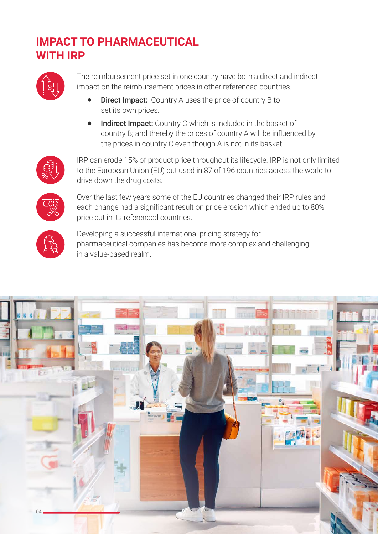## **IMPACT TO PHARMACEUTICAL WITH IRP**



The reimbursement price set in one country have both a direct and indirect impact on the reimbursement prices in other referenced countries.

- **Direct Impact:** Country A uses the price of country B to set its own prices.
- $\bullet$ Indirect Impact: Country C which is included in the basket of country B; and thereby the prices of country A will be influenced by the prices in country C even though A is not in its basket



IRP can erode 15% of product price throughout its lifecycle. IRP is not only limited to the European Union (EU) but used in 87 of 196 countries across the world to drive down the drug costs.



Over the last few years some of the EU countries changed their IRP rules and each change had a significant result on price erosion which ended up to 80% price cut in its referenced countries.



Developing a successful international pricing strategy for pharmaceutical companies has become more complex and challenging in a value-based realm.

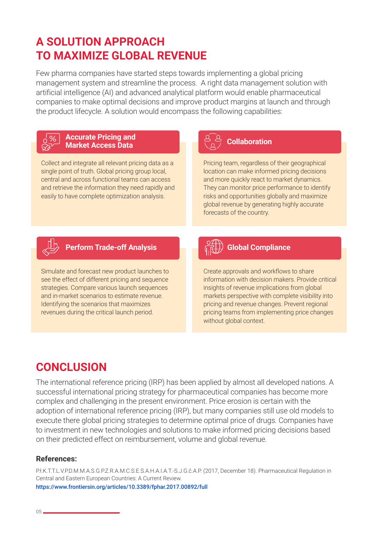## **A SOLUTION APPROACH TO MAXIMIZE GLOBAL REVENUE**

Few pharma companies have started steps towards implementing a global pricing management system and streamline the process. A right data management solution with artificial intelligence (AI) and advanced analytical platform would enable pharmaceutical companies to make optimal decisions and improve product margins at launch and through the product lifecycle. A solution would encompass the following capabilities:



#### **Accurate Pricing and Market Access Data Collaboration**

Collect and integrate all relevant pricing data as a single point of truth. Global pricing group local, central and across functional teams can access and retrieve the information they need rapidly and easily to have complete optimization analysis.

Pricing team, regardless of their geographical location can make informed pricing decisions and more quickly react to market dynamics. They can monitor price performance to identify risks and opportunities globally and maximize global revenue by generating highly accurate forecasts of the country.



### **Perform Trade-off Analysis Global Compliance**

Simulate and forecast new product launches to see the effect of different pricing and sequence strategies. Compare various launch sequences and in-market scenarios to estimate revenue. Identifying the scenarios that maximizes revenues during the critical launch period.

Create approvals and workflows to share information with decision makers. Provide critical insights of revenue implications from global markets perspective with complete visibility into pricing and revenue changes. Prevent regional pricing teams from implementing price changes without global context.

### **CONCLUSION**

The international reference pricing (IRP) has been applied by almost all developed nations. A successful international pricing strategy for pharmaceutical companies has become more complex and challenging in the present environment. Price erosion is certain with the adoption of international reference pricing (IRP), but many companies still use old models to execute there global pricing strategies to determine optimal price of drugs. Companies have to investment in new technologies and solutions to make informed pricing decisions based on their predicted effect on reimbursement, volume and global revenue.

#### **References:**

P.ł.K.T.T.L.V.P.D.M.M.A.S.G.P.Z.R.A.M.C.S.E.S.A.H.A.I.A.T.-S.J.G.č.A.P. (2017, December 18). Pharmaceutical Regulation in Central and Eastern European Countries: A Current Review. https://www.frontiersin.org/articles/10.3389/fphar.2017.00892/full